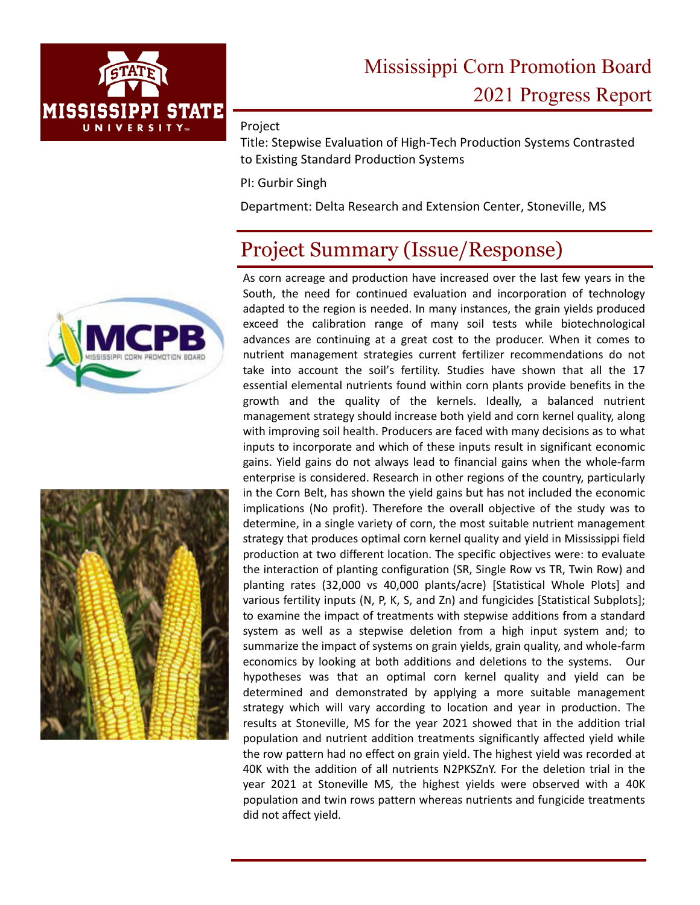

#### Project

Title: Stepwise Evaluation of High-Tech Production Systems Contrasted to Existing Standard Production Systems

PI: Gurbir Singh

Department: Delta Research and Extension Center, Stoneville, MS

## Project Summary (Issue/Response)





As corn acreage and production have increased over the last few years in the South, the need for continued evaluation and incorporation of technology adapted to the region is needed. In many instances, the grain yields produced exceed the calibration range of many soil tests while biotechnological advances are continuing at a great cost to the producer. When it comes to nutrient management strategies current fertilizer recommendations do not take into account the soil's fertility. Studies have shown that all the 17 essential elemental nutrients found within corn plants provide benefits in the growth and the quality of the kernels. Ideally, a balanced nutrient management strategy should increase both yield and corn kernel quality, along with improving soil health. Producers are faced with many decisions as to what inputs to incorporate and which of these inputs result in significant economic gains. Yield gains do not always lead to financial gains when the whole‐farm enterprise is considered. Research in other regions of the country, particularly in the Corn Belt, has shown the yield gains but has not included the economic implications (No profit). Therefore the overall objective of the study was to determine, in a single variety of corn, the most suitable nutrient management strategy that produces optimal corn kernel quality and yield in Mississippi field production at two different location. The specific objectives were: to evaluate the interaction of planting configuration (SR, Single Row vs TR, Twin Row) and planting rates (32,000 vs 40,000 plants/acre) [Statistical Whole Plots] and various fertility inputs (N, P, K, S, and Zn) and fungicides [Statistical Subplots]; to examine the impact of treatments with stepwise additions from a standard system as well as a stepwise deletion from a high input system and; to summarize the impact of systems on grain yields, grain quality, and whole‐farm economics by looking at both additions and deletions to the systems. Our hypotheses was that an optimal corn kernel quality and yield can be determined and demonstrated by applying a more suitable management strategy which will vary according to location and year in production. The results at Stoneville, MS for the year 2021 showed that in the addition trial population and nutrient addition treatments significantly affected yield while the row pattern had no effect on grain yield. The highest yield was recorded at 40K with the addition of all nutrients N2PKSZnY. For the deletion trial in the year 2021 at Stoneville MS, the highest yields were observed with a 40K population and twin rows pattern whereas nutrients and fungicide treatments did not affect yield.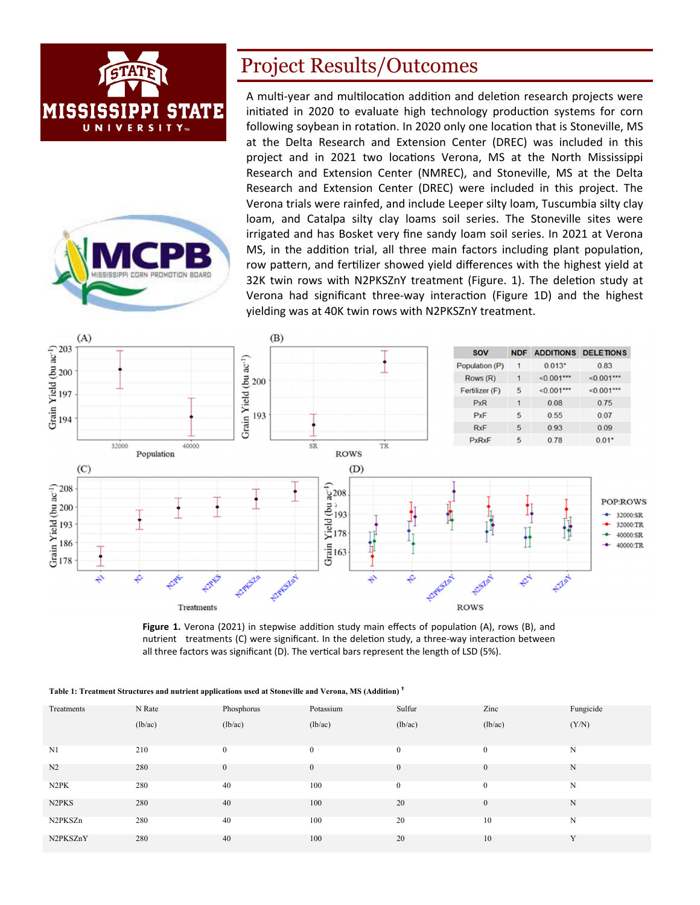



#### Project Results/Outcomes

A multi-year and multilocation addition and deletion research projects were initiated in 2020 to evaluate high technology production systems for corn following soybean in rotation. In 2020 only one location that is Stoneville, MS at the Delta Research and Extension Center (DREC) was included in this project and in 2021 two locations Verona, MS at the North Mississippi Research and Extension Center (NMREC), and Stoneville, MS at the Delta Research and Extension Center (DREC) were included in this project. The Verona trials were rainfed, and include Leeper silty loam, Tuscumbia silty clay loam, and Catalpa silty clay loams soil series. The Stoneville sites were irrigated and has Bosket very fine sandy loam soil series. In 2021 at Verona MS, in the addition trial, all three main factors including plant population, row pattern, and fertilizer showed yield differences with the highest yield at 32K twin rows with N2PKSZnY treatment (Figure. 1). The deletion study at Verona had significant three-way interaction (Figure 1D) and the highest yielding was at 40K twin rows with N2PKSZnY treatment.



Figure 1. Verona (2021) in stepwise addition study main effects of population (A), rows (B), and nutrient treatments (C) were significant. In the deletion study, a three-way interaction between all three factors was significant (D). The vertical bars represent the length of LSD (5%).

| Treatments                     | N Rate  | Phosphorus       | Potassium    | Sulfur       | Zinc             | Fungicide    |
|--------------------------------|---------|------------------|--------------|--------------|------------------|--------------|
|                                | (lb/ac) | (lb/ac)          | (lb/ac)      | (lb/ac)      | (lb/ac)          | (Y/N)        |
|                                |         |                  |              |              |                  |              |
| N1                             | 210     | $\mathbf{0}$     | $\mathbf{0}$ | $\mathbf{0}$ | $\mathbf{0}$     | N            |
| N <sub>2</sub>                 | 280     | $\boldsymbol{0}$ | $\mathbf{0}$ | $\mathbf{0}$ | $\boldsymbol{0}$ | N            |
| N <sub>2</sub> PK              | 280     | 40               | 100          | $\mathbf{0}$ | $\mathbf{0}$     | N            |
| N <sub>2</sub> PK <sub>S</sub> | 280     | 40               | 100          | 20           | $\mathbf{0}$     | N            |
| N2PKSZn                        | 280     | 40               | 100          | 20           | 10               | N            |
| N2PKSZnY                       | 280     | 40               | 100          | 20           | 10               | $\mathbf{v}$ |